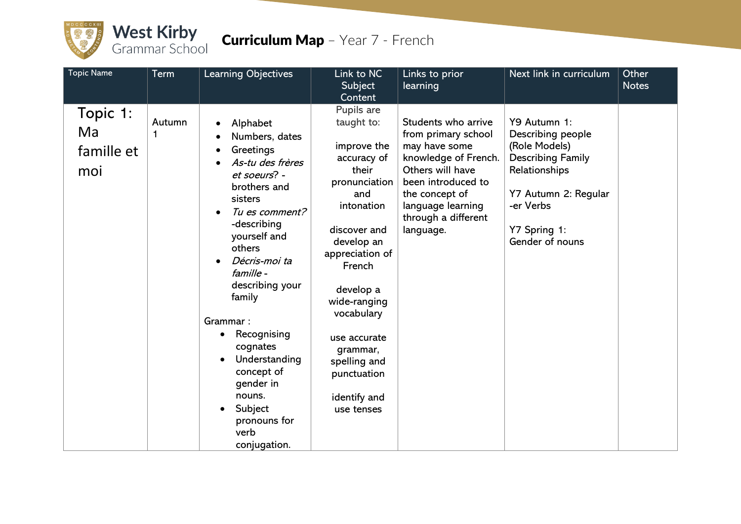

## West Kirby<br>Grammar School Curriculum Map - Year 7 - French

| <b>Topic Name</b>                   | <b>Term</b> | <b>Learning Objectives</b>                                                                                                                                                                                                                                                                                                                                                                                                                    | Link to NC<br>Subject<br>Content                                                                                                                                                                                                                                                                     | Links to prior<br>learning                                                                                                                                                                               | Next link in curriculum                                                                                                                                                 | Other<br><b>Notes</b> |
|-------------------------------------|-------------|-----------------------------------------------------------------------------------------------------------------------------------------------------------------------------------------------------------------------------------------------------------------------------------------------------------------------------------------------------------------------------------------------------------------------------------------------|------------------------------------------------------------------------------------------------------------------------------------------------------------------------------------------------------------------------------------------------------------------------------------------------------|----------------------------------------------------------------------------------------------------------------------------------------------------------------------------------------------------------|-------------------------------------------------------------------------------------------------------------------------------------------------------------------------|-----------------------|
| Topic 1:<br>Ma<br>famille et<br>moi | Autumn<br>1 | Alphabet<br>$\bullet$<br>Numbers, dates<br>Greetings<br>$\bullet$<br>As-tu des frères<br>$\bullet$<br>et soeurs? -<br>brothers and<br>sisters<br>Tu es comment?<br>$\bullet$<br>-describing<br>yourself and<br>others<br>Décris-moi ta<br>$\bullet$<br>famille -<br>describing your<br>family<br>Grammar:<br>Recognising<br>cognates<br>Understanding<br>concept of<br>gender in<br>nouns.<br>Subject<br>pronouns for<br>verb<br>conjugation. | Pupils are<br>taught to:<br>improve the<br>accuracy of<br>their<br>pronunciation<br>and<br>intonation<br>discover and<br>develop an<br>appreciation of<br>French<br>develop a<br>wide-ranging<br>vocabulary<br>use accurate<br>grammar,<br>spelling and<br>punctuation<br>identify and<br>use tenses | Students who arrive<br>from primary school<br>may have some<br>knowledge of French.<br>Others will have<br>been introduced to<br>the concept of<br>language learning<br>through a different<br>language. | Y9 Autumn 1:<br>Describing people<br>(Role Models)<br><b>Describing Family</b><br>Relationships<br>Y7 Autumn 2: Regular<br>-er Verbs<br>Y7 Spring 1:<br>Gender of nouns |                       |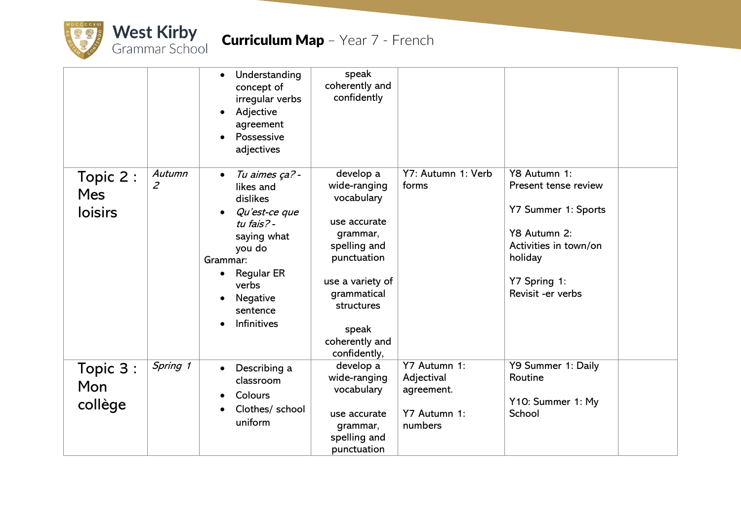

|                                           |                          | Understanding<br>$\bullet$<br>concept of<br>irregular verbs<br>Adjective<br>agreement<br>Possessive<br>adjectives                                                                                         | speak<br>coherently and<br>confidently                                                                                                                                                         |                                                                     |                                                                                                                                                      |  |
|-------------------------------------------|--------------------------|-----------------------------------------------------------------------------------------------------------------------------------------------------------------------------------------------------------|------------------------------------------------------------------------------------------------------------------------------------------------------------------------------------------------|---------------------------------------------------------------------|------------------------------------------------------------------------------------------------------------------------------------------------------|--|
| Topic 2 :<br><b>Mes</b><br><b>loisirs</b> | Autumn<br>$\overline{z}$ | Tu aimes ça?-<br>$\bullet$<br>likes and<br>dislikes<br>Qu'est-ce que<br>tu fais? -<br>saying what<br>you do<br>Grammar:<br><b>Regular ER</b><br>$\bullet$<br>verbs<br>Negative<br>sentence<br>Infinitives | develop a<br>wide-ranging<br>vocabulary<br>use accurate<br>grammar,<br>spelling and<br>punctuation<br>use a variety of<br>grammatical<br>structures<br>speak<br>coherently and<br>confidently, | Y7: Autumn 1: Verb<br>forms                                         | Y8 Autumn 1:<br>Present tense review<br>Y7 Summer 1: Sports<br>Y8 Autumn 2:<br>Activities in town/on<br>holiday<br>Y7 Spring 1:<br>Revisit -er verbs |  |
| Topic 3:<br>Mon<br>collège                | Spring 1                 | Describing a<br>$\bullet$<br>classroom<br>Colours<br>Clothes/ school<br>uniform                                                                                                                           | develop a<br>wide-ranging<br>vocabulary<br>use accurate<br>grammar,<br>spelling and<br>punctuation                                                                                             | Y7 Autumn 1:<br>Adjectival<br>agreement.<br>Y7 Autumn 1:<br>numbers | Y9 Summer 1: Daily<br>Routine<br>Y10: Summer 1: My<br>School                                                                                         |  |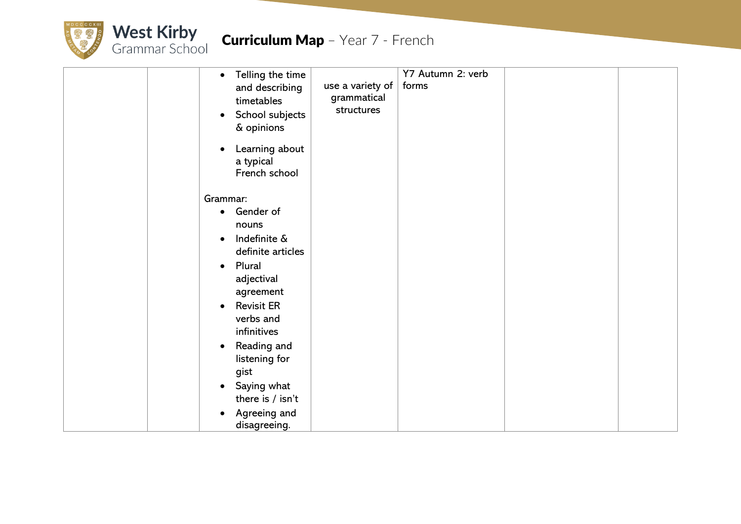

| Telling the time<br>$\bullet$<br>and describing<br>timetables<br>School subjects<br>$\bullet$<br>& opinions                                                                                                                                                     | use a variety of<br>grammatical<br>structures | Y7 Autumn 2: verb<br>forms |  |
|-----------------------------------------------------------------------------------------------------------------------------------------------------------------------------------------------------------------------------------------------------------------|-----------------------------------------------|----------------------------|--|
| Learning about<br>a typical<br>French school                                                                                                                                                                                                                    |                                               |                            |  |
| Grammar:                                                                                                                                                                                                                                                        |                                               |                            |  |
| Gender of<br>$\bullet$<br>nouns<br>Indefinite &<br>$\bullet$<br>definite articles<br>Plural<br>$\bullet$<br>adjectival<br>agreement<br><b>Revisit ER</b><br>verbs and<br>infinitives<br>Reading and<br>listening for<br>gist<br>Saying what<br>there is / isn't |                                               |                            |  |
| Agreeing and<br>$\bullet$<br>disagreeing.                                                                                                                                                                                                                       |                                               |                            |  |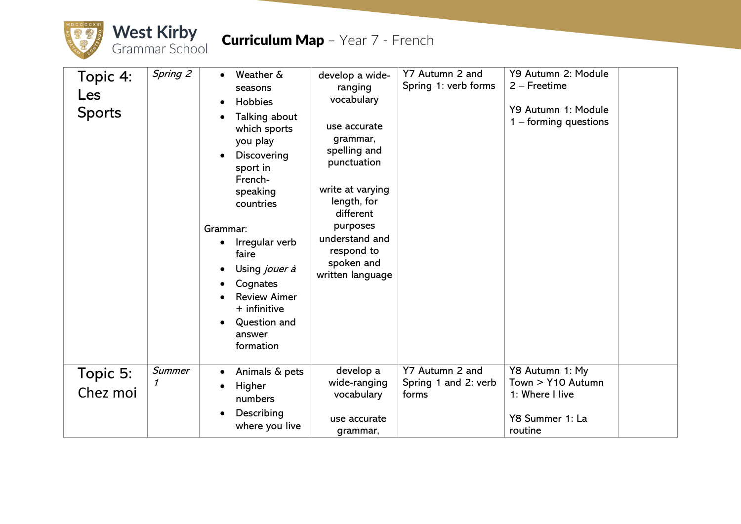

| Topic 4:<br>Les<br><b>Sports</b> | Spring 2                        | Weather &<br>$\bullet$<br>seasons<br>Hobbies<br>$\bullet$<br>Talking about<br>which sports<br>you play<br>Discovering<br>sport in<br>French-<br>speaking<br>countries<br>Grammar:<br>Irregular verb<br>$\bullet$<br>faire<br>Using jouer à<br>Cognates<br><b>Review Aimer</b><br>$+$ infinitive<br>Question and<br>$\bullet$<br>answer<br>formation | develop a wide-<br>ranging<br>vocabulary<br>use accurate<br>grammar,<br>spelling and<br>punctuation<br>write at varying<br>length, for<br>different<br>purposes<br>understand and<br>respond to<br>spoken and<br>written language | Y7 Autumn 2 and<br>Spring 1: verb forms          | Y9 Autumn 2: Module<br>2 – Freetime<br>Y9 Autumn 1: Module<br>$1 -$ forming questions |  |
|----------------------------------|---------------------------------|-----------------------------------------------------------------------------------------------------------------------------------------------------------------------------------------------------------------------------------------------------------------------------------------------------------------------------------------------------|-----------------------------------------------------------------------------------------------------------------------------------------------------------------------------------------------------------------------------------|--------------------------------------------------|---------------------------------------------------------------------------------------|--|
| Topic 5:<br>Chez moi             | Summer<br>$\boldsymbol{\prime}$ | Animals & pets<br>$\bullet$<br>Higher<br>numbers<br>Describing<br>$\bullet$<br>where you live                                                                                                                                                                                                                                                       | develop a<br>wide-ranging<br>vocabulary<br>use accurate<br>grammar,                                                                                                                                                               | Y7 Autumn 2 and<br>Spring 1 and 2: verb<br>forms | Y8 Autumn 1: My<br>Town > Y10 Autumn<br>1: Where I live<br>Y8 Summer 1: La<br>routine |  |